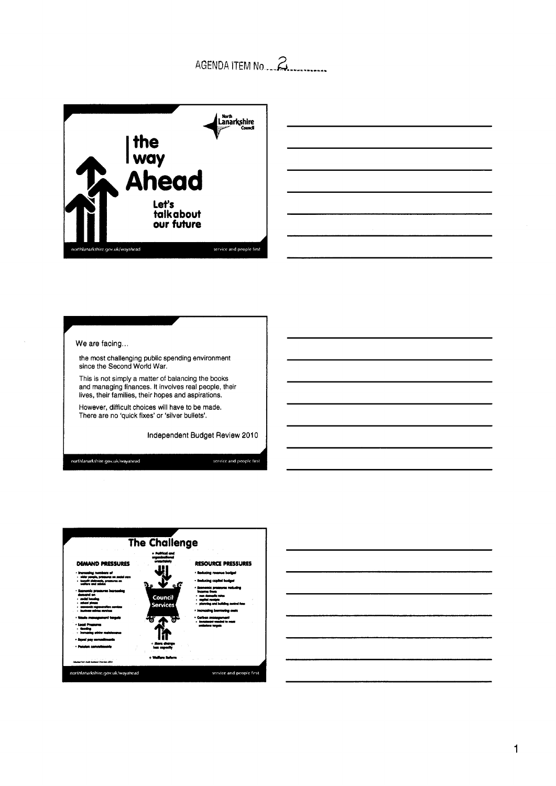## AGENDA ITEM NO.





We are facing...

the most challenging public spending environment since the Second World War.

This is not simply a matter of balancing the books and managing finances. It involves real people, their lives, their families, their hopes and aspirations.

However, difficult choices will have to be made. There are no 'quick fixes' or 'silver bullets'.

independent Budget Review **201** 0

northlanarkshire.gov.uk/wayahead

service and people first



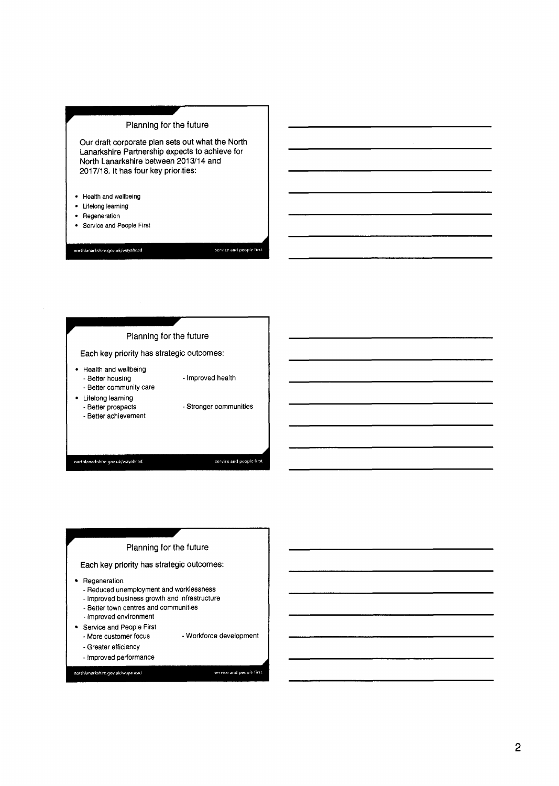### Planning for the future

Our draft corporate plan sets out what the North Lanarkshire Partnership expects to achieve for North Lanarkshire between 2013114 and 2017/18. It has four key priorities:

- Health and wellbeing
- Lifelong learning
- Regeneration
- Service and **People** First

northlanarkshire.gov.uk/wayahead





Each key priority has strategic outcomes:

- Regeneration
	- Reduced unemployment and worklessness
	- Improved business growth and infrastructure
	- Better town centres and communities
	- Improved environment
- Service and People First
	- More customer focus - Workforce development
	- Greater efficiency

northlanarkshire.gov.uk/wayahead

- Improved performance

service and people first

service and people first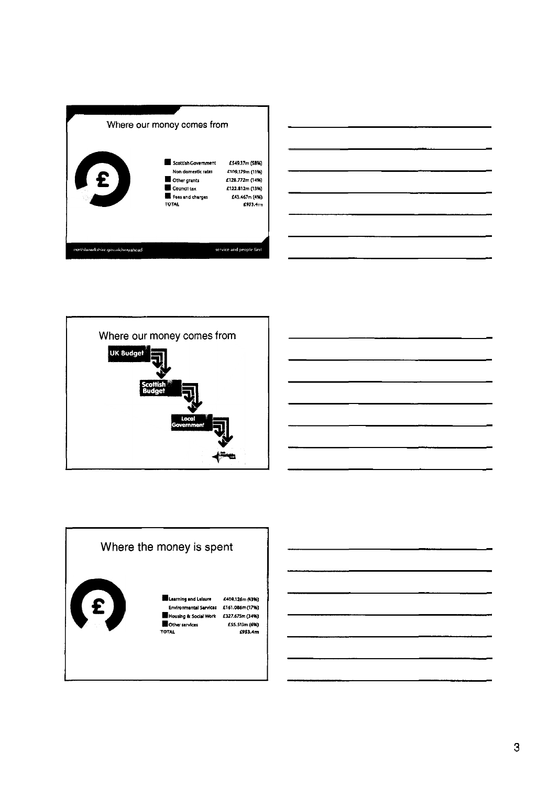





## Where the money is spent



**.Learning and L~SUN N09.126m (43%) Emlronmmtd Svvlcer f161.086m(17%) D~w~~ttg hSocl8lWrk f327.675m(34%) D**<br>**Districts**<br>**TOTAL ESS.513m (6%)**<br>**£953.4m**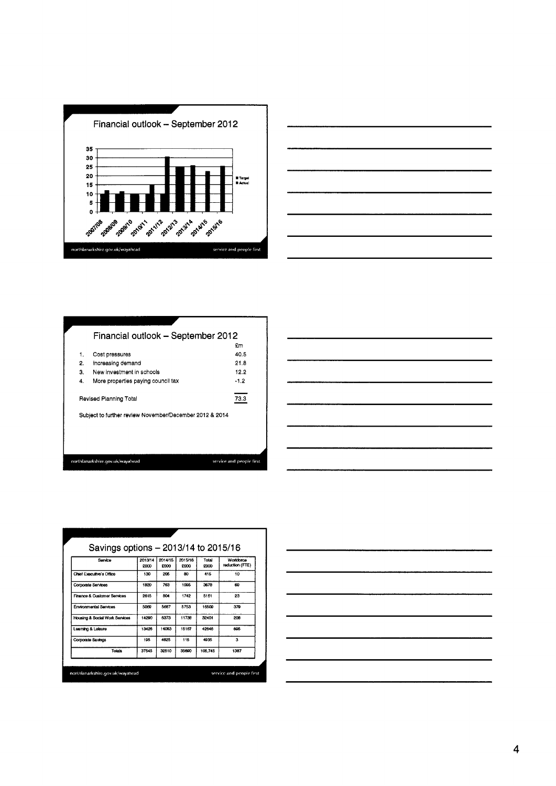



| Financial outlook - September 2012                      |                          |
|---------------------------------------------------------|--------------------------|
|                                                         | £m                       |
| Cost pressures                                          | 40.5                     |
| increasing demand                                       | 21.8                     |
| New investment in schools                               | 12.2                     |
| More properties paying council tax                      | $-1.2$                   |
| Revised Planning Total                                  | 73.3                     |
| Subject to further review November/December 2012 & 2014 |                          |
|                                                         |                          |
|                                                         |                          |
|                                                         |                          |
| northlanarkshire.gov.uk/wayahead                        | service and people first |
|                                                         |                          |

| Service                                | 2013/14<br>5000 | 2014/15<br>£000 | 2015/16<br>5000 | Total<br>£000 | Workforce<br>reduction (FTE) |
|----------------------------------------|-----------------|-----------------|-----------------|---------------|------------------------------|
| Chief Exacutive's Office               | 130             | 205             | RO.             | 415           | 10                           |
| Corporate Services                     | 1820            | 763             | 1095            | 3678          | 69                           |
| <b>Finance &amp; Customer Services</b> | 2615            | BOA             | 1742            | 5161          | 23                           |
| Environmental Services                 | 5089            | 5687            | 5753            | 16509         | 379                          |
| Housing & Social Work Services         | 14290           | 6373            | 11738           | 32401         | 208                          |
| Learning & Leisure                     | 13426           | 14053           | 15167           | 42648         | 695                          |
| Corporate Savings                      | 195             | 4625            | 115             | 4935          | 3                            |
| Totals                                 | 37545           | 32510           | 35600           | 105.745       | 1387                         |

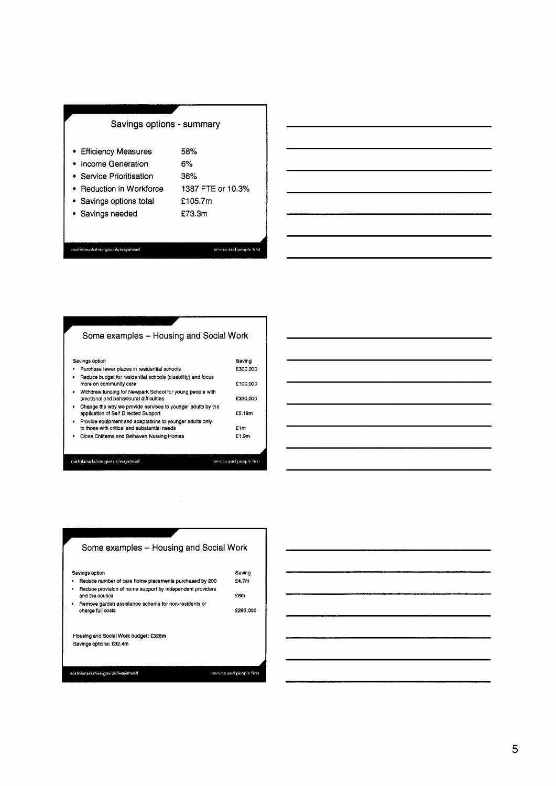### Savings options - summary

- Efficiency Measures **58%**
- Income Generation **6%**

Service Prioritisation **36%** 

- Reduction in Workforce **1387** FTE or **10.3%**
- **f 105.7m**
- Savings options total
- Savings needed **f73.3m**

northlanarkshire.gov.uk/wayahead

service and people first

# Some examples - Housing and Social Work

|   | Savings option                                                                                           | Saving                   |
|---|----------------------------------------------------------------------------------------------------------|--------------------------|
| ٠ | Purchase fewer places in residential schools                                                             | £300,000                 |
| ٠ | Reduce budget for residential schools (disability) and focus<br>more on community care                   | £100,000                 |
| ٠ | Withdraw funding for Newpark School for young people with<br>emotional and behavioural difficulties      | £330,000                 |
| ٠ | Change the way we provide services to younger adults by the<br>application of Self Directed Support      | £5.19m                   |
| ٠ | Provide equipment and adaptations to younger adults only<br>to those with critical and substantial needs | £1m                      |
|   | Close Chilterns and Belhaven Nursing Homes                                                               | £1.9m                    |
|   |                                                                                                          |                          |
|   | northlanarkshire.gov.uk/wayahead                                                                         | service and people first |



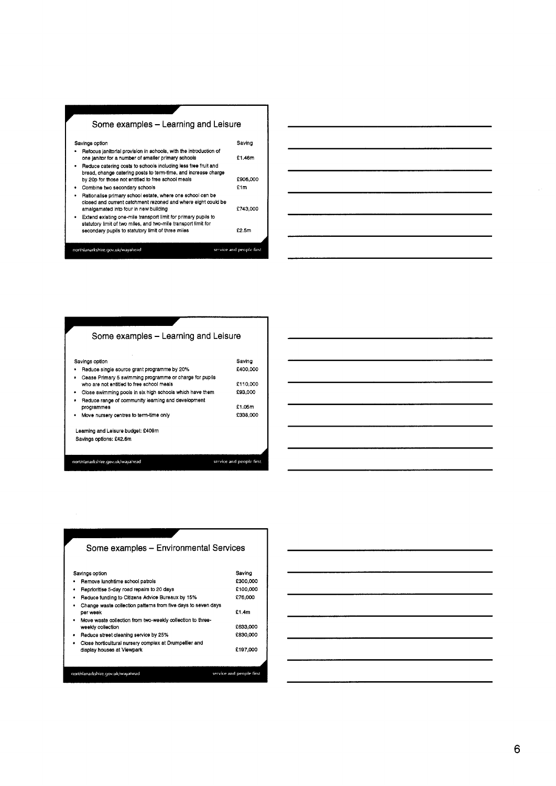



| Some examples – Learning and Leisure                                                                       |                          |
|------------------------------------------------------------------------------------------------------------|--------------------------|
| Savings option<br>Reduce single source grant programme by 20%                                              | Saving<br>£400.000       |
| Cease Primary 5 swimming programme or charge for pupils<br>٠<br>who are not entitled to free school meals  | £110,000                 |
| Close swimming pools in six high schools which have them                                                   | £93,000                  |
| Reduce range of community learning and development<br>programmes<br>Move nursery centres to term-time only | £1.05m<br>£338.000       |
| Learning and Leisure budget: £409m                                                                         |                          |
| Savings options: £42.6m                                                                                    |                          |
| northlanarkshire.gov.uk/wayahead                                                                           | service and people first |
|                                                                                                            |                          |



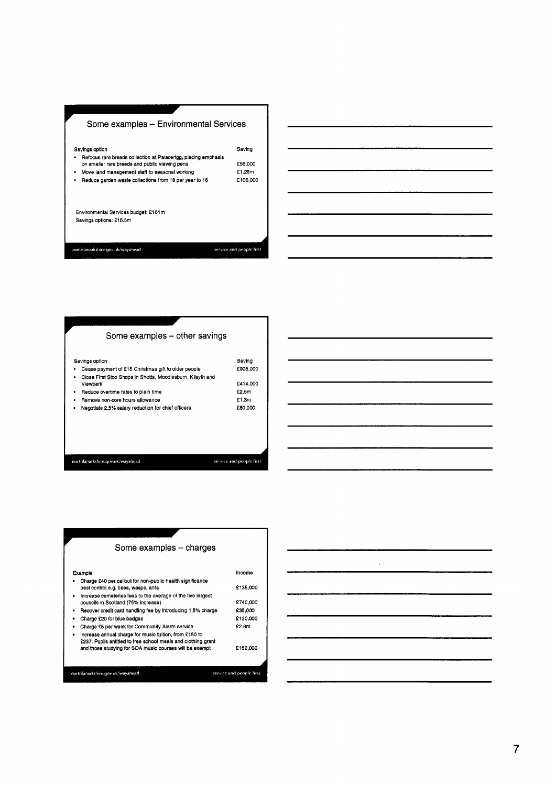

**Some examples - other savings** Savings option Saving Saving Cease payment of £15 Christmas gift to older people f905,000  $\overline{a}$ Close First Stop Shops in Shotts, Moodiesburn, Kiisyth and Viewpark function of the contract of the contract of the contract of the contract of the contract of the contract of the contract of the contract of the contract of the contract of the contract of the contract of the contr Reduce overtime rates to plain time for the fact of the fact of the fact of the fact of the fact of the fact of the fact of the fact of the fact of the fact of the fact of the fact of the fact of the fact of the fact of th  $\bullet$ \* Remove non-core hours allowance f 1.3m • Negotiate 2.5% salary reduction for chief officers f80,000 northlanarkshire.gov.uk/wayahead service and people first